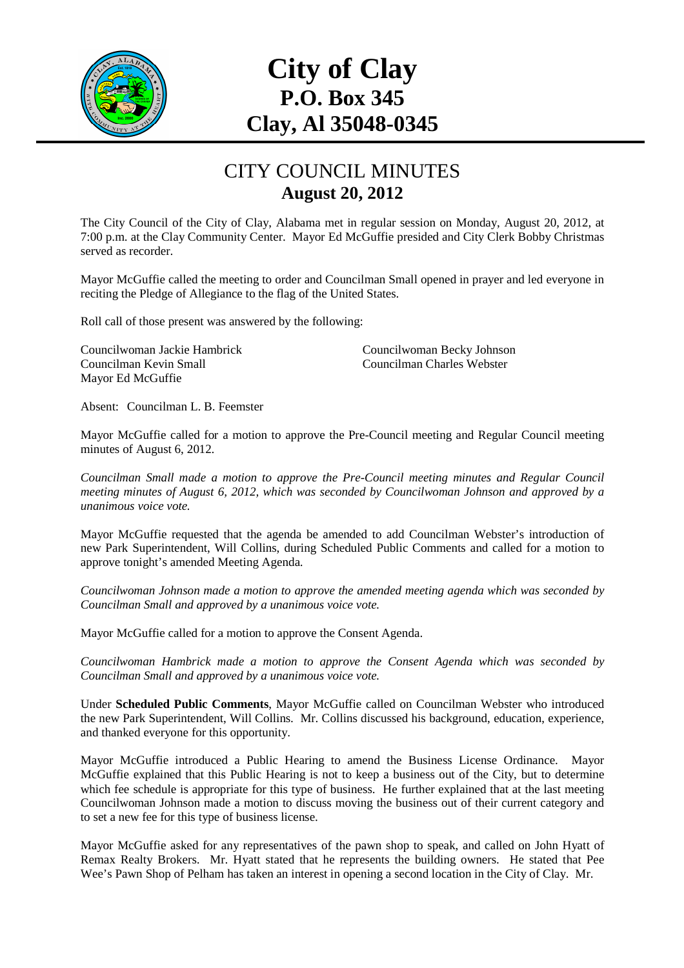

# **City of Clay P.O. Box 345 Clay, Al 35048-0345**

#### CITY COUNCIL MINUTES **August 20, 2012**

The City Council of the City of Clay, Alabama met in regular session on Monday, August 20, 2012, at 7:00 p.m. at the Clay Community Center. Mayor Ed McGuffie presided and City Clerk Bobby Christmas served as recorder.

Mayor McGuffie called the meeting to order and Councilman Small opened in prayer and led everyone in reciting the Pledge of Allegiance to the flag of the United States.

Roll call of those present was answered by the following:

Councilwoman Jackie Hambrick Councilwoman Becky Johnson Councilman Kevin Small Councilman Charles Webster Mayor Ed McGuffie

Absent: Councilman L. B. Feemster

Mayor McGuffie called for a motion to approve the Pre-Council meeting and Regular Council meeting minutes of August 6, 2012.

*Councilman Small made a motion to approve the Pre-Council meeting minutes and Regular Council meeting minutes of August 6, 2012, which was seconded by Councilwoman Johnson and approved by a unanimous voice vote.* 

Mayor McGuffie requested that the agenda be amended to add Councilman Webster's introduction of new Park Superintendent, Will Collins, during Scheduled Public Comments and called for a motion to approve tonight's amended Meeting Agenda.

*Councilwoman Johnson made a motion to approve the amended meeting agenda which was seconded by Councilman Small and approved by a unanimous voice vote.* 

Mayor McGuffie called for a motion to approve the Consent Agenda.

*Councilwoman Hambrick made a motion to approve the Consent Agenda which was seconded by Councilman Small and approved by a unanimous voice vote.* 

Under **Scheduled Public Comments**, Mayor McGuffie called on Councilman Webster who introduced the new Park Superintendent, Will Collins. Mr. Collins discussed his background, education, experience, and thanked everyone for this opportunity.

Mayor McGuffie introduced a Public Hearing to amend the Business License Ordinance. Mayor McGuffie explained that this Public Hearing is not to keep a business out of the City, but to determine which fee schedule is appropriate for this type of business. He further explained that at the last meeting Councilwoman Johnson made a motion to discuss moving the business out of their current category and to set a new fee for this type of business license.

Mayor McGuffie asked for any representatives of the pawn shop to speak, and called on John Hyatt of Remax Realty Brokers. Mr. Hyatt stated that he represents the building owners. He stated that Pee Wee's Pawn Shop of Pelham has taken an interest in opening a second location in the City of Clay. Mr.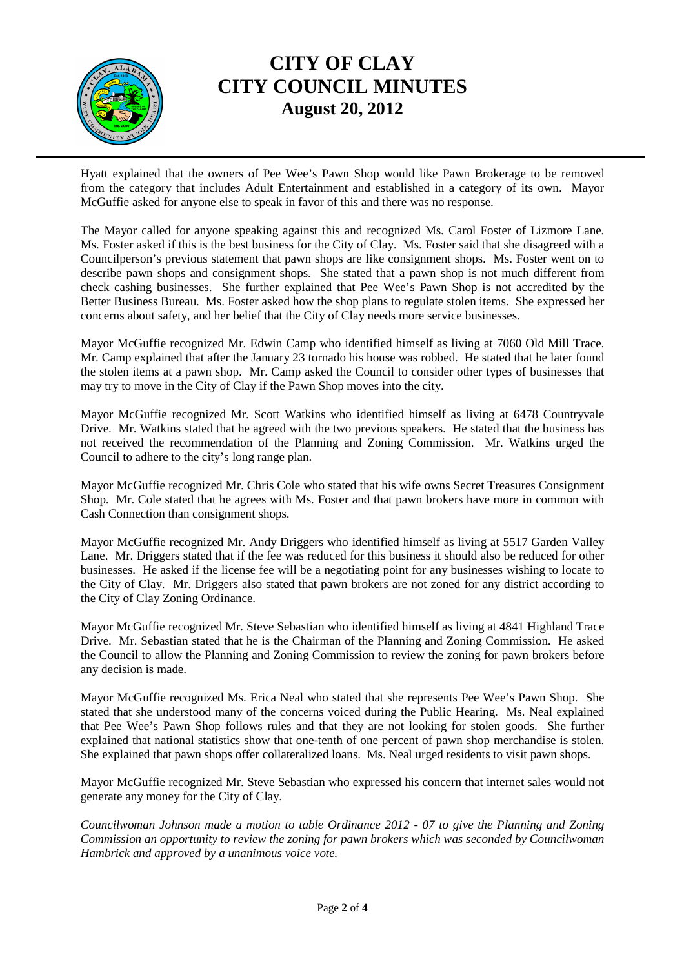

### **CITY OF CLAY CITY COUNCIL MINUTES August 20, 2012**

Hyatt explained that the owners of Pee Wee's Pawn Shop would like Pawn Brokerage to be removed from the category that includes Adult Entertainment and established in a category of its own. Mayor McGuffie asked for anyone else to speak in favor of this and there was no response.

The Mayor called for anyone speaking against this and recognized Ms. Carol Foster of Lizmore Lane. Ms. Foster asked if this is the best business for the City of Clay. Ms. Foster said that she disagreed with a Councilperson's previous statement that pawn shops are like consignment shops. Ms. Foster went on to describe pawn shops and consignment shops. She stated that a pawn shop is not much different from check cashing businesses. She further explained that Pee Wee's Pawn Shop is not accredited by the Better Business Bureau. Ms. Foster asked how the shop plans to regulate stolen items. She expressed her concerns about safety, and her belief that the City of Clay needs more service businesses.

Mayor McGuffie recognized Mr. Edwin Camp who identified himself as living at 7060 Old Mill Trace. Mr. Camp explained that after the January 23 tornado his house was robbed. He stated that he later found the stolen items at a pawn shop. Mr. Camp asked the Council to consider other types of businesses that may try to move in the City of Clay if the Pawn Shop moves into the city.

Mayor McGuffie recognized Mr. Scott Watkins who identified himself as living at 6478 Countryvale Drive. Mr. Watkins stated that he agreed with the two previous speakers. He stated that the business has not received the recommendation of the Planning and Zoning Commission. Mr. Watkins urged the Council to adhere to the city's long range plan.

Mayor McGuffie recognized Mr. Chris Cole who stated that his wife owns Secret Treasures Consignment Shop. Mr. Cole stated that he agrees with Ms. Foster and that pawn brokers have more in common with Cash Connection than consignment shops.

Mayor McGuffie recognized Mr. Andy Driggers who identified himself as living at 5517 Garden Valley Lane. Mr. Driggers stated that if the fee was reduced for this business it should also be reduced for other businesses. He asked if the license fee will be a negotiating point for any businesses wishing to locate to the City of Clay. Mr. Driggers also stated that pawn brokers are not zoned for any district according to the City of Clay Zoning Ordinance.

Mayor McGuffie recognized Mr. Steve Sebastian who identified himself as living at 4841 Highland Trace Drive. Mr. Sebastian stated that he is the Chairman of the Planning and Zoning Commission. He asked the Council to allow the Planning and Zoning Commission to review the zoning for pawn brokers before any decision is made.

Mayor McGuffie recognized Ms. Erica Neal who stated that she represents Pee Wee's Pawn Shop. She stated that she understood many of the concerns voiced during the Public Hearing. Ms. Neal explained that Pee Wee's Pawn Shop follows rules and that they are not looking for stolen goods. She further explained that national statistics show that one-tenth of one percent of pawn shop merchandise is stolen. She explained that pawn shops offer collateralized loans. Ms. Neal urged residents to visit pawn shops.

Mayor McGuffie recognized Mr. Steve Sebastian who expressed his concern that internet sales would not generate any money for the City of Clay.

*Councilwoman Johnson made a motion to table Ordinance 2012 - 07 to give the Planning and Zoning Commission an opportunity to review the zoning for pawn brokers which was seconded by Councilwoman Hambrick and approved by a unanimous voice vote.*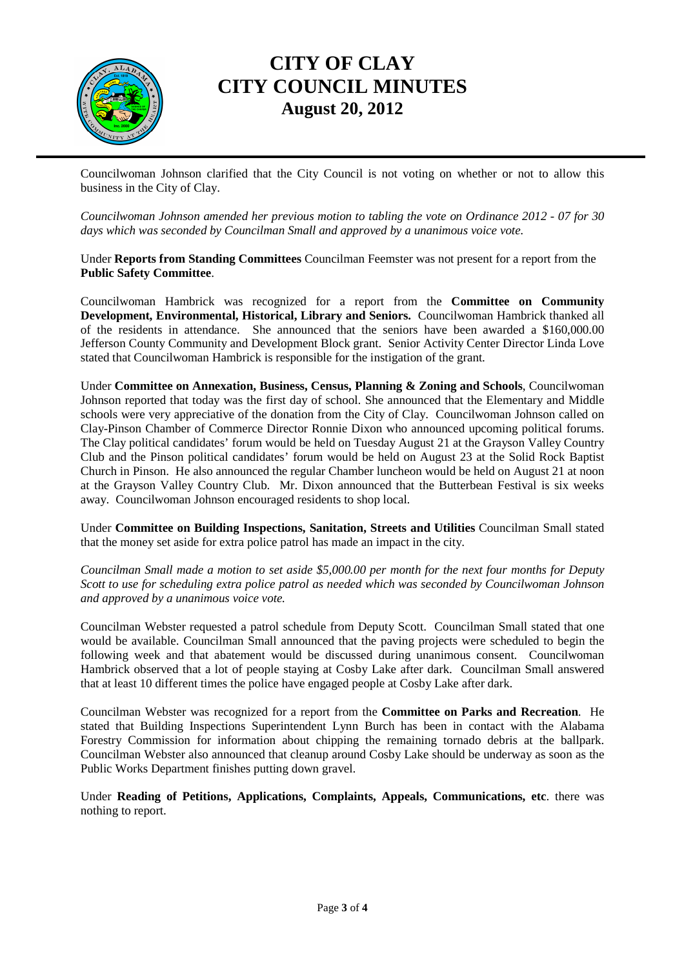

### **CITY OF CLAY CITY COUNCIL MINUTES August 20, 2012**

Councilwoman Johnson clarified that the City Council is not voting on whether or not to allow this business in the City of Clay.

*Councilwoman Johnson amended her previous motion to tabling the vote on Ordinance 2012 - 07 for 30 days which was seconded by Councilman Small and approved by a unanimous voice vote.* 

Under **Reports from Standing Committees** Councilman Feemster was not present for a report from the **Public Safety Committee**.

Councilwoman Hambrick was recognized for a report from the **Committee on Community Development, Environmental, Historical, Library and Seniors.** Councilwoman Hambrick thanked all of the residents in attendance. She announced that the seniors have been awarded a \$160,000.00 Jefferson County Community and Development Block grant. Senior Activity Center Director Linda Love stated that Councilwoman Hambrick is responsible for the instigation of the grant.

Under **Committee on Annexation, Business, Census, Planning & Zoning and Schools**, Councilwoman Johnson reported that today was the first day of school. She announced that the Elementary and Middle schools were very appreciative of the donation from the City of Clay. Councilwoman Johnson called on Clay-Pinson Chamber of Commerce Director Ronnie Dixon who announced upcoming political forums. The Clay political candidates' forum would be held on Tuesday August 21 at the Grayson Valley Country Club and the Pinson political candidates' forum would be held on August 23 at the Solid Rock Baptist Church in Pinson. He also announced the regular Chamber luncheon would be held on August 21 at noon at the Grayson Valley Country Club. Mr. Dixon announced that the Butterbean Festival is six weeks away. Councilwoman Johnson encouraged residents to shop local.

Under **Committee on Building Inspections, Sanitation, Streets and Utilities** Councilman Small stated that the money set aside for extra police patrol has made an impact in the city.

*Councilman Small made a motion to set aside \$5,000.00 per month for the next four months for Deputy Scott to use for scheduling extra police patrol as needed which was seconded by Councilwoman Johnson and approved by a unanimous voice vote.* 

Councilman Webster requested a patrol schedule from Deputy Scott. Councilman Small stated that one would be available. Councilman Small announced that the paving projects were scheduled to begin the following week and that abatement would be discussed during unanimous consent. Councilwoman Hambrick observed that a lot of people staying at Cosby Lake after dark. Councilman Small answered that at least 10 different times the police have engaged people at Cosby Lake after dark.

Councilman Webster was recognized for a report from the **Committee on Parks and Recreation**. He stated that Building Inspections Superintendent Lynn Burch has been in contact with the Alabama Forestry Commission for information about chipping the remaining tornado debris at the ballpark. Councilman Webster also announced that cleanup around Cosby Lake should be underway as soon as the Public Works Department finishes putting down gravel.

Under **Reading of Petitions, Applications, Complaints, Appeals, Communications, etc**. there was nothing to report.